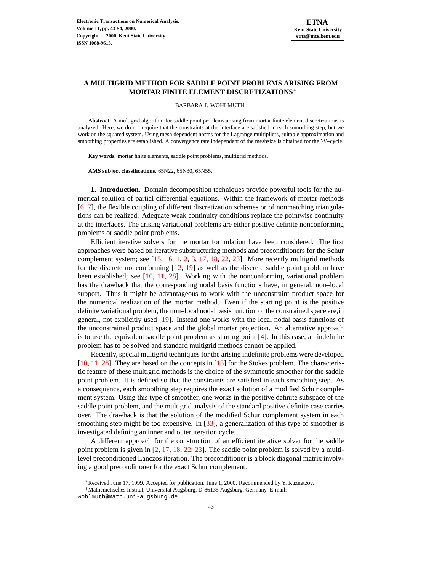# **A MULTIGRID METHOD FOR SADDLE POINT PROBLEMS ARISING FROM MORTAR FINITE ELEMENT DISCRETIZATIONS**<sup>∗</sup>

BARBARA I. WOHLMUTH †

**Abstract.** A multigrid algorithm for saddle point problems arising from mortar finite element discretizations is analyzed. Here, we do not require that the constraints at the interface are satisfied in each smoothing step, but we work on the squared system. Using mesh dependent norms for the Lagrange multipliers, suitable approximation and smoothing properties are established. A convergence rate independent of the meshsize is obtained for the  $W$ –cycle.

**Key words.** mortar finite elements, saddle point problems, multigrid methods.

**AMS subject classifications.** 65N22, 65N30, 65N55.

**1. Introduction.** Domain decomposition techniques provide powerful tools for the numerical solution of partial differential equations. Within the framework of mortar methods [\[6,](#page-10-0) [7\]](#page-10-1), the flexible coupling of different discretization schemes or of nonmatching triangulations can be realized. Adequate weak continuity conditions replace the pointwise continuity at the interfaces. The arising variational problems are either positive definite nonconforming problems or saddle point problems.

Efficient iterative solvers for the mortar formulation have been considered. The first approaches were based on iterative substructuring methods and preconditioners for the Schur complement system; see [\[15,](#page-10-2) [16,](#page-10-3) [1,](#page-9-0) [2,](#page-9-1) [3,](#page-10-4) [17,](#page-10-5) [18,](#page-10-6) [22,](#page-10-7) [23\]](#page-10-8). More recently multigrid methods for the discrete nonconforming [\[12,](#page-10-9) [19\]](#page-10-10) as well as the discrete saddle point problem have been established; see [\[10,](#page-10-11) [11,](#page-10-12) [28\]](#page-10-13). Working with the nonconforming variational problem has the drawback that the corresponding nodal basis functions have, in general, non–local support. Thus it might be advantageous to work with the unconstraint product space for the numerical realization of the mortar method. Even if the starting point is the positive definite variational problem, the non–local nodal basisfunction of the constrained space are,in general, not explicitly used [\[19\]](#page-10-10). Instead one works with the local nodal basis functions of the unconstrained product space and the global mortar projection. An alternative approach is to use the equivalent saddle point problem as starting point [\[4\]](#page-10-14). In this case, an indefinite problem has to be solved and standard multigrid methods cannot be applied.

Recently, special multigrid techniques for the arising indefinite problems were developed [\[10,](#page-10-11) [11,](#page-10-12) [28\]](#page-10-13). They are based on the concepts in [\[13\]](#page-10-15) for the Stokes problem. The characteristic feature of these multigrid methods is the choice of the symmetric smoother for the saddle point problem. It is defined so that the constraints are satisfied in each smoothing step. As a consequence, each smoothing step requires the exact solution of a modified Schur complement system. Using this type of smoother, one works in the positive definite subspace of the saddle point problem, and the multigrid analysis of the standard positive definite case carries over. The drawback is that the solution of the modified Schur complement system in each smoothing step might be too expensive. In [\[33\]](#page-11-0), a generalization of this type of smoother is investigated defining an inner and outer iteration cycle.

A different approach for the construction of an efficient iterative solver for the saddle point problem is given in [\[2,](#page-9-1) [17,](#page-10-5) [18,](#page-10-6) [22,](#page-10-7) [23\]](#page-10-8). The saddle point problem is solved by a multilevel preconditioned Lanczos iteration. The preconditioner is a block diagonal matrix involving a good preconditioner for the exact Schur complement.

<sup>∗</sup>Received June 17, 1999. Accepted for publication. June 1, 2000. Recommended by Y. Kuznetzov.

<sup>&</sup>lt;sup>†</sup>Mathemetisches Institut, Universität Augsburg, D-86135 Augsburg, Germany. E-mail:

wohlmuth@math.uni-augsburg.de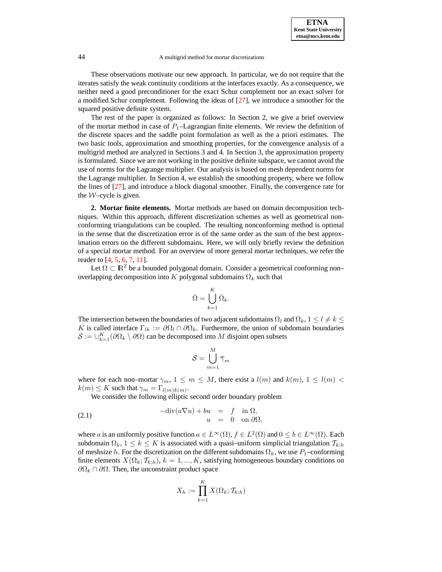These observations motivate our new approach. In particular, we do not require that the iterates satisfy the weak continuity conditions at the interfaces exactly. As a consequence, we neither need a good preconditioner for the exact Schur complement nor an exact solver for a modified Schur complement. Following the ideas of [\[27\]](#page-10-16), we introduce a smoother for the squared positive definite system.

The rest of the paper is organized as follows: In Section 2, we give a brief overview of the mortar method in case of  $P_1$ -Lagrangian finite elements. We review the definition of the discrete spaces and the saddle point formulation as well as the a priori estimates. The two basic tools, approximation and smoothing properties, for the convergence analysis of a multigrid method are analyzed in Sections 3 and 4. In Section 3, the approximation property is formulated. Since we are not working in the positive definite subspace, we cannot avoid the use of norms for the Lagrange multiplier. Our analysis is based on mesh dependent norms for the Lagrange multiplier. In Section 4, we establish the smoothing property, where we follow the lines of [\[27\]](#page-10-16), and introduce a block diagonal smoother. Finally, the convergence rate for the  $W$ –cycle is given.

**2. Mortar finite elements.** Mortar methods are based on domain decomposition techniques. Within this approach, different discretization schemes as well as geometrical nonconforming triangulations can be coupled. The resulting nonconforming method is optimal in the sense that the discretization error is of the same order as the sum of the best approximation errors on the different subdomains. Here, we will only briefly review the definition of a special mortar method. For an overview of more general mortar techniques, we refer the reader to [\[4,](#page-10-14) [5,](#page-10-17) [6,](#page-10-0) [7,](#page-10-1) [11\]](#page-10-12).

Let  $\Omega \subset \mathbb{R}^2$  be a bounded polygonal domain. Consider a geometrical conforming non– overlapping decomposition into  $K$  polygonal subdomains  $\Omega_k$  such that

$$
\bar{\Omega} = \bigcup_{k=1}^{K} \bar{\Omega}_{k}.
$$

The intersection between the boundaries of two adjacent subdomains  $\Omega_l$  and  $\Omega_k$ ,  $1 \leq l \neq k \leq$ K is called interface  $\Gamma_{lk} := \partial \Omega_l \cap \partial \Omega_k$ . Furthermore, the union of subdomain boundaries  $\mathcal{S} := \bigcup_{k=1}^K (\partial \Omega_k \setminus \partial \Omega)$  can be decomposed into M disjoint open subsets

$$
\mathcal{S} = \bigcup_{m=1}^{M} \overline{\gamma}_m
$$

 $\ddot{\phantom{a}}$ 

where for each non–mortar  $\gamma_m$ ,  $1 \leq m \leq M$ , there exist a  $l(m)$  and  $k(m)$ ,  $1 \leq l(m)$  $k(m) \leq K$  such that  $\gamma_m = \Gamma_{l(m)k(m)}$ .

<span id="page-1-0"></span>We consider the following elliptic second order boundary problem

(2.1) 
$$
-\text{div}(a\nabla u) + bu = f \text{ in } \Omega,
$$

$$
u = 0 \text{ on } \partial\Omega,
$$

where a is an uniformly positive function  $a \in L^{\infty}(\Omega)$ ,  $f \in L^{2}(\Omega)$  and  $0 \leq b \in L^{\infty}(\Omega)$ . Each subdomain  $\Omega_k$ ,  $1 \leq k \leq K$  is associated with a quasi–uniform simplicial triangulation  $\mathcal{T}_{k,h}$ of meshsize h. For the discretization on the different subdomains  $\Omega_k$ , we use  $P_1$ –conforming finite elements  $X(\Omega_k; \mathcal{T}_{k,h}), k = 1, ..., K$ , satisfying homogeneous boundary conditions on  $\partial\Omega_k \cap \partial\Omega$ . Then, the unconstraint product space

$$
X_h := \prod_{k=1}^K X(\Omega_k; \mathcal{T}_{k;h})
$$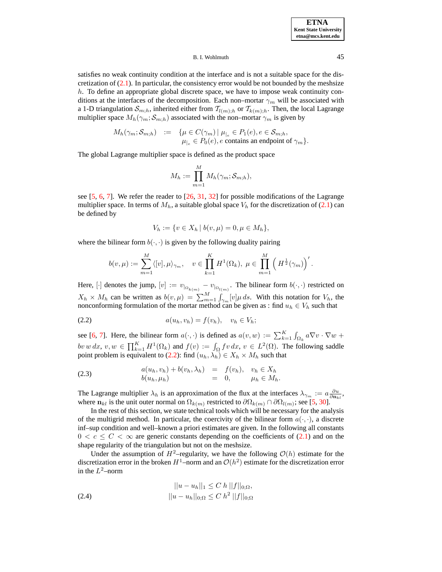satisfies no weak continuity condition at the interface and is not a suitable space for the discretization of  $(2.1)$ . In particular, the consistency error would be not bounded by the meshsize h. To define an appropriate global discrete space, we have to impose weak continuity conditions at the interfaces of the decomposition. Each non–mortar  $\gamma_m$  will be associated with a 1-D triangulation  $S_{m,h}$ , inherited either from  $T_{l(m);h}$  or  $T_{k(m);h}$ . Then, the local Lagrange multiplier space  $M_h(\gamma_m; \mathcal{S}_{m:h})$  associated with the non–mortar  $\gamma_m$  is given by

$$
M_h(\gamma_m; \mathcal{S}_{m;h}) \quad := \quad \{ \mu \in C(\gamma_m) \mid \mu_{|_e} \in P_1(e), e \in \mathcal{S}_{m;h}, \newline \mu_{|_e} \in P_0(e), e \text{ contains an endpoint of } \gamma_m \}.
$$

The global Lagrange multiplier space is defined as the product space

$$
M_h := \prod_{m=1}^M M_h(\gamma_m; \mathcal{S}_{m;h}),
$$

see [\[5,](#page-10-17) [6,](#page-10-0) [7\]](#page-10-1). We refer the reader to [\[26,](#page-10-18) [31,](#page-11-1) [32\]](#page-11-2) for possible modifications of the Lagrange multiplier space. In terms of  $M_h$ , a suitable global space  $V_h$  for the discretization of [\(2.1\)](#page-1-0) can be defined by

$$
V_h := \{ v \in X_h \mid b(v, \mu) = 0, \mu \in M_h \},\
$$

where the bilinear form  $b(\cdot, \cdot)$  is given by the following duality pairing

$$
b(v,\mu) := \sum_{m=1}^M \langle [v], \mu \rangle_{\gamma_m}, \quad v \in \prod_{k=1}^K H^1(\Omega_k), \ \mu \in \prod_{m=1}^M \left(H^{\frac{1}{2}}(\gamma_m)\right)'.
$$

Here,  $[\cdot]$  denotes the jump,  $[v] := v_{\vert_{\Omega_{k(m)}}} - v_{\vert_{\Omega_{l(m)}}}$ . The bilinear form  $b(\cdot, \cdot)$  restricted on  $X_h \times M_h$  can be written as  $b(v, \mu) = \sum_{m=1}^{M} \int_{\gamma_m} [v] \mu ds$ . With this notation for  $V_h$ , the nonconforming formulation of the mortar method can be given as : find  $u_h \in V_h$  such that

<span id="page-2-0"></span>
$$
(2.2) \t a(u_h, v_h) = f(v_h), \t v_h \in V_h;
$$

see [\[6,](#page-10-0) [7\]](#page-10-1). Here, the bilinear form  $a(\cdot, \cdot)$  is defined as  $a(v, w) := \sum_{k=1}^{K} \int_{\Omega_k} a \nabla v \cdot \nabla w +$  $bv\, w\, dx,\, v,w\, \in\, \prod_{k=1}^K H^1(\Omega_k)$  and  $f(v) := \int_{\Omega} fv\, dx,\, v\, \in\, L^2(\Omega).$  The following saddle point problem is equivalent to [\(2.2\)](#page-2-0): find  $(u_h, \lambda_h) \in X_h \times M_h$  such that

<span id="page-2-1"></span>(2.3) 
$$
a(u_h, v_h) + b(v_h, \lambda_h) = f(v_h), v_h \in X_h
$$

$$
b(u_h, \mu_h) = 0, \qquad \mu_h \in M_h.
$$

The Lagrange multiplier  $\lambda_h$  is an approximation of the flux at the interfaces  $\lambda_{\gamma_m} := a \frac{\partial u}{\partial n_{kl}}$ , where  $n_{kl}$  is the unit outer normal on  $\Omega_{k(m)}$  restricted to  $\partial\Omega_{k(m)} \cap \partial\Omega_{l(m)}$ ; see [\[5,](#page-10-17) [30\]](#page-10-19).

In the rest of this section, we state technical tools which will be necessary for the analysis of the multigrid method. In particular, the coercivity of the bilinear form  $a(\cdot, \cdot)$ , a discrete inf–sup condition and well–known a priori estimates are given. In the following all constants  $0 < c \leq C < \infty$  are generic constants depending on the coefficients of [\(2.1\)](#page-1-0) and on the shape regularity of the triangulation but not on the meshsize.

Under the assumption of  $H^2$ –regularity, we have the following  $\mathcal{O}(h)$  estimate for the discretization error in the broken  $H^1$ –norm and an  $\mathcal{O}(h^2)$  estimate for the discretization error in the  $L^2$ -norm

<span id="page-2-2"></span>(2.4) 
$$
||u - u_h||_1 \leq C h ||f||_{0;\Omega},
$$

$$
||u - u_h||_{0;\Omega} \leq C h^2 ||f||_{0;\Omega}
$$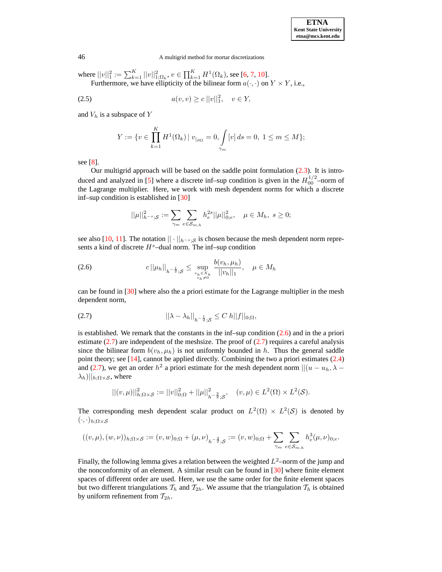where  $||v||_1^2 := \sum_{k=1}^K ||v||_{1;\Omega_k}^2$ ,  $v \in \prod_{k=1}^K H^1(\Omega_k)$ , see [\[6,](#page-10-0) [7,](#page-10-1) [10\]](#page-10-11). Furthermore, we have ellipticity of the bilinear form  $a(\cdot, \cdot)$  on  $Y \times Y$ , i.e.,

(2.5) 
$$
a(v,v) \ge c ||v||_1^2, \quad v \in Y,
$$

and  $V_h$  is a subspace of  $Y$ 

<span id="page-3-3"></span>
$$
Y:=\{v\in \prod_{k=1}^K H^1(\Omega_k)\,|\; v_{|_{\partial\Omega}}=0, \int\limits_{\gamma_m}[v]\,ds=0,\; 1\leq m\leq M\};
$$

see [\[8\]](#page-10-20).

Our multigrid approach will be based on the saddle point formulation [\(2.3\)](#page-2-1). It is intro-duced and analyzed in [\[5\]](#page-10-17) where a discrete inf-sup condition is given in the  $H_{00}^{1/2}$ -norm of the Lagrange multiplier. Here, we work with mesh dependent norms for which a discrete inf–sup condition is established in [\[30\]](#page-10-19)

$$
||\mu||_{h^{-s};\mathcal{S}}^2 := \sum_{\gamma_m} \sum_{e \in \mathcal{S}_{m,h}} h_e^{2s} ||\mu||_{0;e}^2, \quad \mu \in M_h, \ s \ge 0;
$$

see also [\[10,](#page-10-11) [11\]](#page-10-12). The notation  $|| \cdot ||_{h^{-s} \cdot S}$  is chosen because the mesh dependent norm represents a kind of discrete  $H<sup>s</sup>$ –dual norm. The inf–sup condition

<span id="page-3-0"></span>
$$
(2.6) \t\t c \|\mu_h\|_{h^{-\frac{1}{2}};S} \leq \sup_{\substack{v_h \in X_h \\ v_h \neq 0}} \frac{b(v_h, \mu_h)}{\|v_h\|_1}, \quad \mu \in M_h
$$

can be found in [\[30\]](#page-10-19) where also the a priori estimate for the Lagrange multiplier in the mesh dependent norm,

<span id="page-3-1"></span>(2.7) 
$$
||\lambda - \lambda_h||_{h^{-\frac{1}{2}};S} \leq C h||f||_{0;\Omega},
$$

is established. We remark that the constants in the inf–sup condition  $(2.6)$  and in the a priori estimate  $(2.7)$  are independent of the meshsize. The proof of  $(2.7)$  requires a careful analysis since the bilinear form  $b(v_h, \mu_h)$  is not uniformly bounded in h. Thus the general saddle point theory; see [\[14\]](#page-10-21), cannot be applied directly. Combining the two a priori estimates [\(2.4\)](#page-2-2) and [\(2.7\)](#page-3-1), we get an order  $h^2$  a priori estimate for the mesh dependent norm  $||(u - u_h, \lambda - \lambda)|$  $\lambda_h$ )|| $h; \Omega \times S$ , where

$$
||(v,\mu)||_{h;\Omega\times\mathcal{S}}^2:=||v||_{0;\Omega}^2+||\mu||_{h^{-\frac{3}{2}};\mathcal{S}}^2, \quad (v,\mu)\in L^2(\Omega)\times L^2(\mathcal{S}).
$$

The corresponding mesh dependent scalar product on  $L^2(\Omega) \times L^2(\mathcal{S})$  is denoted by  $(\cdot,\cdot)_{h;\Omega\times\mathcal{S}}$ 

$$
((v,\mu),(w,\nu))_{h;\Omega\times\mathcal{S}}:=(v,w)_{0;\Omega}+(\mu,\nu)_{h^{-\frac{3}{2}};\mathcal{S}}:=(v,w)_{0;\Omega}+\sum_{\gamma_m}\sum_{e\in\mathcal{S}_{m;h}}h^3_e(\mu,\nu)_{0;e}.
$$

<span id="page-3-2"></span>Finally, the following lemma gives a relation between the weighted  $L^2$ -norm of the jump and the nonconformity of an element. A similar result can be found in [\[30\]](#page-10-19) where finite element spaces of different order are used. Here, we use the same order for the finite element spaces but two different triangulations  $T_h$  and  $T_{2h}$ . We assume that the triangulation  $T_h$  is obtained by uniform refinement from  $T_{2h}$ .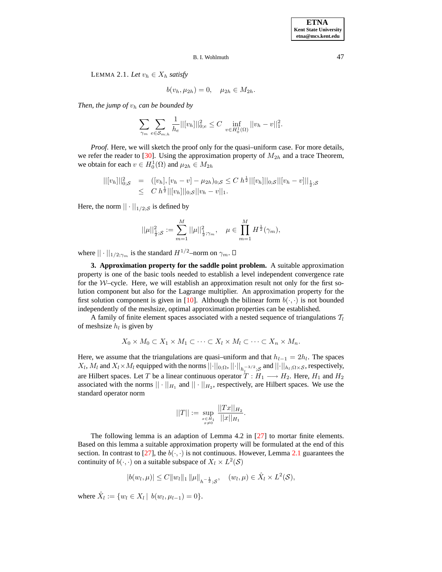LEMMA 2.1. Let  $v_h \in X_h$  satisfy

$$
b(v_h, \mu_{2h}) = 0, \quad \mu_{2h} \in M_{2h}.
$$

*Then, the jump of*  $v_h$  *can be bounded by* 

$$
\sum_{\gamma_m} \sum_{e \in \mathcal{S}_{m,h}} \frac{1}{h_e} ||[v_h]||_{0;e}^2 \leq C \inf_{v \in H_0^1(\Omega)} ||v_h - v||_1^2.
$$

*Proof.* Here, we will sketch the proof only for the quasi–uniform case. For more details, we refer the reader to [\[30\]](#page-10-19). Using the approximation property of  $M_{2h}$  and a trace Theorem, we obtain for each  $v \in H_0^1(\Omega)$  and  $\mu_{2h} \in M_{2h}$ 

$$
||[v_h]||_{0,S}^2 = ([v_h], [v_h - v] - \mu_{2h})_{0,S} \le C h^{\frac{1}{2}} ||[v_h]||_{0,S} ||[v_h - v]||_{\frac{1}{2},S} \le C h^{\frac{1}{2}} ||[v_h]||_{0,S} ||v_h - v||_1.
$$

Here, the norm  $|| \cdot ||_{1/2;S}$  is defined by

$$
||\mu||_{\frac{1}{2};\mathcal{S}}^2:=\sum_{m=1}^M ||\mu||_{\frac{1}{2};\gamma_m}^2,\quad \mu\in\prod_{m=1}^M H^{\frac{1}{2}}(\gamma_m),
$$

where  $|| \cdot ||_{1/2;\gamma_m}$  is the standard  $H^{1/2}$ –norm on  $\gamma_m$ .

**3. Approximation property for the saddle point problem.** A suitable approximation property is one of the basic tools needed to establish a level independent convergence rate for the  $W$ –cycle. Here, we will establish an approximation result not only for the first solution component but also for the Lagrange multiplier. An approximation property for the first solution component is given in [\[10\]](#page-10-11). Although the bilinear form  $b(\cdot, \cdot)$  is not bounded independently of the meshsize, optimal approximation properties can be established.

A family of finite element spaces associated with a nested sequence of triangulations  $T_l$ of meshsize  $h_l$  is given by

$$
X_0 \times M_0 \subset X_1 \times M_1 \subset \cdots \subset X_l \times M_l \subset \cdots \subset X_n \times M_n.
$$

Here, we assume that the triangulations are quasi–uniform and that  $h_{l-1} = 2h_l$ . The spaces  $X_l$ ,  $M_l$  and  $X_l \times M_l$  equipped with the norms  $||\cdot||_{0;\Omega}$ ,  $||\cdot||_{h_l^{-3/2};\mathcal{S}}$  and  $||\cdot||_{h_l;\Omega \times \mathcal{S}}$ , respectively, are Hilbert spaces. Let T be a linear continuous operator  $T : H_1 \longrightarrow H_2$ . Here,  $H_1$  and  $H_2$ associated with the norms  $|| \cdot ||_{H_1}$  and  $|| \cdot ||_{H_2}$ , respectively, are Hilbert spaces. We use the standard operator norm

$$
||T||:=\sup_{\substack{x\in H_1\\x\neq 0}}\frac{||Tx||_{H_2}}{||x||_{H_1}}.
$$

The following lemma is an adaption of Lemma 4.2 in [\[27\]](#page-10-16) to mortar finite elements. Based on this lemma a suitable approximation property will be formulated at the end of this section. In contrast to [\[27\]](#page-10-16), the  $b(\cdot, \cdot)$  is not continuous. However, Lemma [2.1](#page-3-2) guarantees the continuity of  $b(\cdot, \cdot)$  on a suitable subspace of  $X_l \times L^2(\mathcal{S})$ 

$$
|b(w_l, \mu)| \leq C ||w_l||_1 ||\mu||_{h^{-\frac{1}{2}};S}, \quad (w_l, \mu) \in \hat{X}_l \times L^2(\mathcal{S}),
$$

<span id="page-4-0"></span>where  $\hat{X}_l := \{w_l \in X_l \mid b(w_l, \mu_{l-1}) = 0\}.$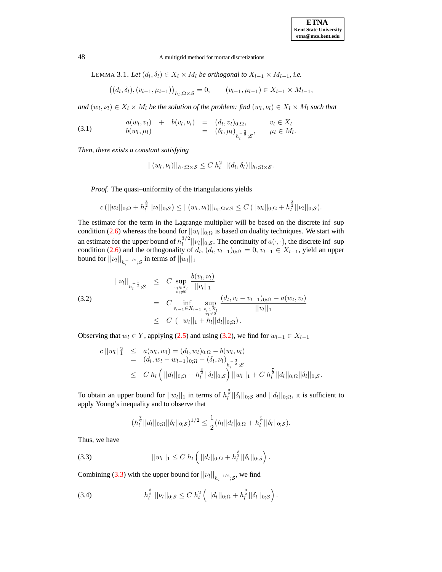LEMMA 3.1. *Let*  $(d_l, \delta_l) \in X_l \times M_l$  *be orthogonal to*  $X_{l-1} \times M_{l-1}$ *, i.e.* 

$$
((d_l, \delta_l), (v_{l-1}, \mu_{l-1}))_{h_l, \Omega \times \mathcal{S}} = 0, \qquad (v_{l-1}, \mu_{l-1}) \in X_{l-1} \times M_{l-1},
$$

 $and (w_l, v_l) \in X_l \times M_l$  *be the solution of the problem: find*  $(w_l, v_l) \in X_l \times M_l$  *such that* 

<span id="page-5-3"></span>(3.1) 
$$
a(w_l, v_l) + b(v_l, \nu_l) = (d_l, v_l)_{0; \Omega}, \qquad v_l \in X_l b(w_l, \mu_l) = (\delta_l, \mu_l)_{h_l^{-\frac{3}{2}}; S}, \qquad \mu_l \in M_l.
$$

*Then, there exists a constant satisfying*

$$
||(w_l, \nu_l)||_{h_l; \Omega \times \mathcal{S}} \leq C h_l^2 ||(d_l, \delta_l)||_{h_l; \Omega \times \mathcal{S}}.
$$

*Proof*. The quasi–uniformity of the triangulations yields

$$
c(||w_l||_{0;\Omega}+h_l^{\frac{3}{2}}||v_l||_{0;\mathcal{S}})\leq ||(w_l,v_l)||_{h_l;\Omega\times\mathcal{S}}\leq C(||w_l||_{0;\Omega}+h_l^{\frac{3}{2}}||v_l||_{0;\mathcal{S}}).
$$

The estimate for the term in the Lagrange multiplier will be based on the discrete inf–sup condition [\(2.6\)](#page-3-0) whereas the bound for  $||w_l||_{0;\Omega}$  is based on duality techniques. We start with an estimate for the upper bound of  $h_l^{3/2}$  $\|u_l\|_{0,\mathcal{S}}$ . The continuity of  $a(\cdot,\cdot)$ , the discrete inf–sup condition [\(2.6\)](#page-3-0) and the orthogonality of  $d_l$ ,  $(d_l, v_{l-1})_{0;\Omega} = 0$ ,  $v_{l-1} \in X_{l-1}$ , yield an upper bound for  $||\nu_l||_{h_l^{-1/2};\mathcal{S}}$  in terms of  $||w_l||_1$ 

<span id="page-5-0"></span>
$$
||\nu_{l}||_{h_{l}^{-\frac{1}{2}};S} \leq C \sup_{\substack{v_{l}\in X_{l} \\ v_{l}\neq 0}} \frac{b(v_{l},\nu_{l})}{||v_{l}||_{1}}
$$
  
\n(3.2)  
\n
$$
= C \inf_{\substack{v_{l-1}\in X_{l-1} \\ v_{l}\neq 0}} \sup_{\substack{v_{l}\in X_{l} \\ v_{l}\neq 0}} \frac{(d_{l},v_{l}-v_{l-1})_{0;\Omega} - a(w_{l},v_{l})}{||v_{l}||_{1}}
$$
  
\n
$$
\leq C (||w_{l}||_{1} + h_{l}||d_{l}||_{0;\Omega}).
$$

Observing that  $w_l \in Y$ , applying [\(2.5\)](#page-3-3) and using [\(3.2\)](#page-5-0), we find for  $w_{l-1} \in X_{l-1}$ 

$$
c ||w_l||_1^2 \leq a(w_l, w_l) = (d_l, w_l)_{0; \Omega} - b(w_l, \nu_l)
$$
  
=  $(d_l, w_l - w_{l-1})_{0; \Omega} - (\delta_l, \nu_l)_{h_l^{-\frac{3}{2}}; S}$   

$$
\leq C h_l (||d_l||_{0; \Omega} + h_l^{\frac{3}{2}} ||\delta_l||_{0; S}) ||w_l||_1 + C h_l^{\frac{7}{2}} ||d_l||_{0; \Omega} ||\delta_l||_{0; S}.
$$

To obtain an upper bound for  $||w_l||_1$  in terms of  $h_l^{\frac{3}{2}}||\delta_l||_{0;\mathcal{S}}$  and  $||d_l||_{0;\Omega}$ , it is sufficient to apply Young's inequality and to observe that

$$
(h_l^{\frac{7}{2}}||d_l||_{0;\Omega}||\delta_l||_{0;\mathcal{S}})^{1/2} \leq \frac{1}{2}(h_l||d_l||_{0;\Omega}+h_l^{\frac{5}{2}}||\delta_l||_{0;\mathcal{S}}).
$$

Thus, we have

<span id="page-5-1"></span>(3.3) 
$$
||w_l||_1 \leq C h_l \left( ||d_l||_{0;\Omega} + h_l^{\frac{3}{2}} ||\delta_l||_{0;\mathcal{S}} \right).
$$

Combining [\(3.3\)](#page-5-1) with the upper bound for  $||\nu_{l}||_{h_l^{-1/2};\mathcal{S}}$ , we find

<span id="page-5-2"></span>(3.4) 
$$
h_l^{\frac{3}{2}} ||\nu_l||_{0;\mathcal{S}} \leq C h_l^2 \left( ||d_l||_{0;\Omega} + h_l^{\frac{3}{2}} ||\delta_l||_{0;\mathcal{S}} \right).
$$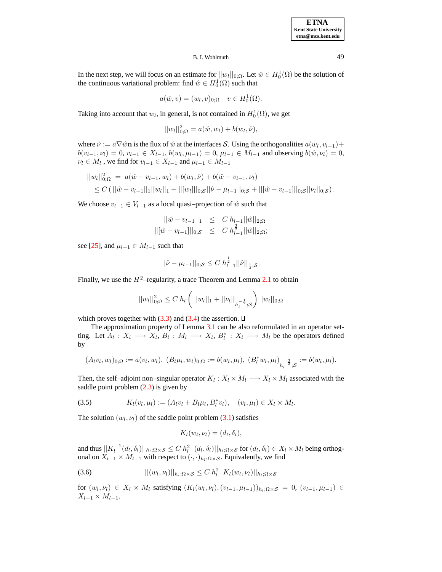In the next step, we will focus on an estimate for  $||w_l||_{0,\Omega}$ . Let  $\hat{w} \in H_0^1(\Omega)$  be the solution of the continuous variational problem: find  $\hat{w} \in H_0^1(\Omega)$  such that

$$
a(\hat{w}, v) = (w_l, v)_{0; \Omega} \quad v \in H_0^1(\Omega).
$$

Taking into account that  $w_l$ , in general, is not contained in  $H_0^1(\Omega)$ , we get

$$
||w_l||_{0;\Omega}^2 = a(\hat{w}, w_l) + b(w_l, \hat{\nu}),
$$

where  $\hat{\nu} := a\nabla \hat{w}$ **n** is the flux of  $\hat{w}$  at the interfaces S. Using the orthogonalities  $a(w_l, v_{l-1}) +$  $b(v_{l-1}, v_l) = 0, v_{l-1} \in X_{l-1}, b(w_l, \mu_{l-1}) = 0, \mu_{l-1} \in M_{l-1}$  and observing  $b(\hat{w}, v_l) = 0$ ,  $\nu_l \in M_l$ , we find for  $v_{l-1} \in X_{l-1}$  and  $\mu_{l-1} \in M_{l-1}$ 

$$
||w_l||_{0;\Omega}^2 = a(\hat{w} - v_{l-1}, w_l) + b(w_l, \hat{\nu}) + b(\hat{w} - v_{l-1}, \nu_l)
$$
  
\n
$$
\leq C(||\hat{w} - v_{l-1}||_1||w_l||_1 + ||[w_l]||_{0;\mathcal{S}}||\hat{\nu} - \mu_{l-1}||_{0;\mathcal{S}} + ||[\hat{w} - v_{l-1}]||_{0;\mathcal{S}}||\nu_l||_{0;\mathcal{S}}).
$$

We choose  $v_{l-1} \in V_{l-1}$  as a local quasi–projection of  $\hat{w}$  such that

$$
||\hat{w} - v_{l-1}||_1 \leq C h_{l-1} ||\hat{w}||_{2,\Omega}
$$
  
 
$$
||[\hat{w} - v_{l-1}]]|_{0,\mathcal{S}} \leq C h_{l-1}^{\frac{3}{2}} ||\hat{w}||_{2,\Omega};
$$

see [\[25\]](#page-10-22), and  $\mu_{l-1} \in M_{l-1}$  such that

$$
||\hat{\nu} - \mu_{l-1}||_{0;\mathcal{S}} \leq C h_{l-1}^{\frac{1}{2}} ||\hat{\nu}||_{\frac{1}{2};\mathcal{S}}.
$$

Finally, we use the  $H^2$ –regularity, a trace Theorem and Lemma [2.1](#page-3-2) to obtain

$$
||w_l||_{0;\Omega}^2 \leq C h_l \left( ||w_l||_1 + ||\nu_l||_{h_l^{-\frac{1}{2}};\mathcal{S}} \right) ||w_l||_{0;\Omega}
$$

which proves together with  $(3.3)$  and  $(3.4)$  the assertion.  $\Box$ 

The approximation property of Lemma [3.1](#page-4-0) can be also reformulated in an operator setting. Let  $A_l: X_l \longrightarrow X_l$ ,  $B_l: M_l \longrightarrow X_l$ ,  $B_l^*: X_l \longrightarrow M_l$  be the operators defined by

$$
(A_l v_l, w_l)_{0;\Omega} := a(v_l, w_l), (B_l \mu_l, w_l)_{0;\Omega} := b(w_l, \mu_l), (B_l^* w_l, \mu_l)_{h_l^{-\frac{3}{2}};S} := b(w_l, \mu_l).
$$

Then, the self-adjoint non–singular operator  $K_l: X_l \times M_l \longrightarrow X_l \times M_l$  associated with the saddle point problem  $(2.3)$  is given by

<span id="page-6-0"></span>(3.5) 
$$
K_l(v_l, \mu_l) := (A_l v_l + B_l \mu_l, B_l^* v_l), \quad (v_l, \mu_l) \in X_l \times M_l.
$$

The solution  $(w_l, v_l)$  of the saddle point problem [\(3.1\)](#page-5-3) satisfies

$$
K_l(w_l, \nu_l) = (d_l, \delta_l),
$$

and thus  $||K_l^{-1}(d_l, \delta_l)||_{h_l; \Omega \times \mathcal{S}} \leq C h_l^2 ||(d_l, \delta_l)||_{h_l; \Omega \times \mathcal{S}}$  for  $(d_l, \delta_l) \in X_l \times M_l$  being orthogonal on  $X_{l-1} \times M_{l-1}$  with respect to  $(·, ·)_{h_l;\Omega \times S}$ . Equivalently, we find

<span id="page-6-1"></span>
$$
||(w_l, \nu_l)||_{h_l; \Omega \times \mathcal{S}} \leq C \; h_l^2 ||K_l(w_l, \nu_l)||_{h_l; \Omega \times \mathcal{S}}
$$

for  $(w_l, v_l) \in X_l \times M_l$  satisfying  $(K_l(w_l, v_l), (v_{l-1}, \mu_{l-1}))_{h_l; \Omega \times S} = 0$ ,  $(v_{l-1}, \mu_{l-1}) \in$  $X_{l-1} \times M_{l-1}.$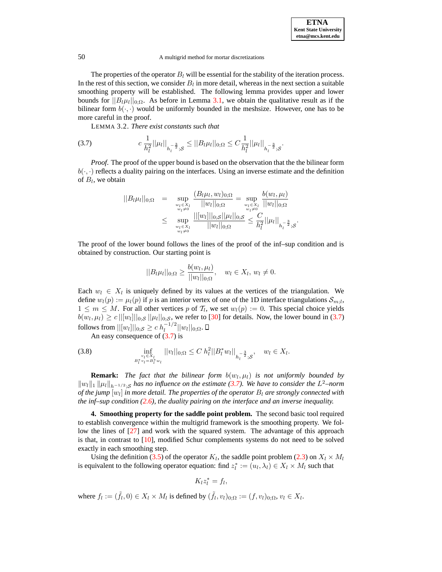The properties of the operator  $B_l$  will be essential for the stability of the iteration process. In the rest of this section, we consider  $B_l$  in more detail, whereas in the next section a suitable smoothing property will be established. The following lemma provides upper and lower bounds for  $||B_l\mu_l||_{0;\Omega}$ . As before in Lemma [3.1,](#page-4-0) we obtain the qualitative result as if the bilinear form  $b(\cdot, \cdot)$  would be uniformly bounded in the meshsize. However, one has to be more careful in the proof.

LEMMA 3.2. *There exist constants such that*

<span id="page-7-0"></span>
$$
(3.7) \t c \frac{1}{h_l^2} ||\mu_l||_{h_l^{-\frac{3}{2}};S} \le ||B_l\mu_l||_{0;\Omega} \le C \frac{1}{h_l^2} ||\mu_l||_{h_l^{-\frac{3}{2}};S}.
$$

*Proof*. The proof of the upper bound is based on the observation that the the bilinear form  $b(\cdot, \cdot)$  reflects a duality pairing on the interfaces. Using an inverse estimate and the definition of  $B_l$ , we obtain

$$
||B_l \mu_l||_{0;\Omega} = \sup_{\substack{w_l \in X_l \\ w_l \neq 0}} \frac{(B_l \mu_l, w_l)_{0;\Omega}}{||w_l||_{0;\Omega}} = \sup_{\substack{w_l \in X_l \\ w_l \neq 0}} \frac{b(w_l, \mu_l)}{||w_l||_{0;\Omega}} \leq \sup_{\substack{w_l \in X_l \\ w_l \neq 0}} \frac{||[w_l]||_{0;S}||\mu_l||_{0;S}}{||w_l||_{0;\Omega}} \leq \frac{C}{h_l^2} ||\mu_l||_{h_l^{-\frac{3}{2}};S}.
$$

The proof of the lower bound follows the lines of the proof of the inf–sup condition and is obtained by construction. Our starting point is

$$
||B_l\mu_l||_{0;\Omega} \ge \frac{b(w_l,\mu_l)}{||w_l||_{0;\Omega}}, \quad w_l \in X_l, w_l \ne 0.
$$

Each  $w_l \in X_l$  is uniquely defined by its values at the vertices of the triangulation. We define  $w_l(p) := \mu_l(p)$  if p is an interior vertex of one of the 1D interface triangulations  $\mathcal{S}_{m,l}$ ,  $1 \leq m \leq M$ . For all other vertices p of  $T_l$ , we set  $w_l(p) := 0$ . This special choice yields  $b(w_l, \mu_l) \ge c ||[w_l]||_{0;\mathcal{S}} ||\mu_l||_{0;\mathcal{S}}$ , we refer to [\[30\]](#page-10-19) for details. Now, the lower bound in [\(3.7\)](#page-7-0) follows from  $||[w_l]||_{0;\mathcal{S}} \ge c h_l^{-1/2}$  $\frac{1}{l}$ <sup>-1/2</sup>||w<sub>l</sub>||<sub>0;</sub> $\Omega$ .

An easy consequence of  $(3.7)$  is

<span id="page-7-1"></span>(3.8) 
$$
\inf_{\substack{v_l \in X_l \\ B_l^* v_l = B_l^* w_l}} ||v_l||_{0;\Omega} \leq C h_l^2 ||B_l^* w_l||_{h_l^{-\frac{3}{2}};\mathcal{S}}, \quad w_l \in X_l.
$$

**Remark:** The fact that the bilinear form  $b(w_l, \mu_l)$  is not uniformly bounded by kwlk<sup>1</sup> kµlkh−1/2;<sup>S</sup> *has no influence on the estimate [\(3.7\)](#page-7-0). We have to consider the* L <sup>2</sup>*–norm*  $\delta$  *of the jump*  $[w_l]$  *in more detail. The properties of the operator*  $B_l$  *are strongly connected with the inf–sup condition [\(2.6\)](#page-3-0), the duality pairing on the interface and an inverse inequality.*

**4. Smoothing property for the saddle point problem.** The second basic tool required to establish convergence within the multigrid framework is the smoothing property. We follow the lines of [\[27\]](#page-10-16) and work with the squared system. The advantage of this approach is that, in contrast to [\[10\]](#page-10-11), modified Schur complements systems do not need to be solved exactly in each smoothing step.

Using the definition [\(3.5\)](#page-6-0) of the operator  $K_l$ , the saddle point problem [\(2.3\)](#page-2-1) on  $X_l \times M_l$ is equivalent to the following operator equation: find  $z_l^* := (u_l, \lambda_l) \in X_l \times M_l$  such that

$$
K_l z_l^* = f_l,
$$

where  $f_l := (\tilde{f}_l, 0) \in X_l \times M_l$  is defined by  $(\tilde{f}_l, v_l)_{0;\Omega} := (f, v_l)_{0;\Omega}, v_l \in X_l$ .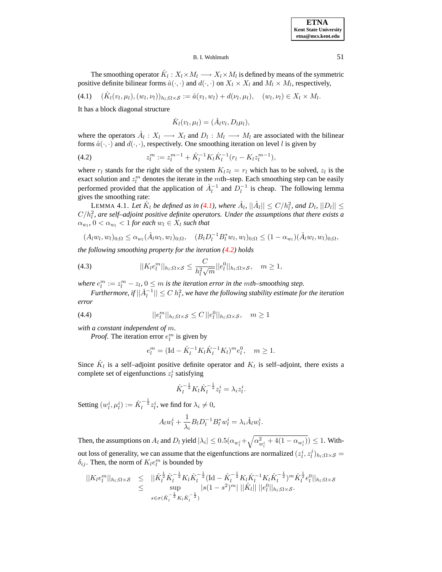The smoothing operator  $\hat{K}_l : X_l \times M_l \longrightarrow X_l \times M_l$  is defined by means of the symmetric positive definite bilinear forms  $\hat{a}(\cdot,\cdot)$  and  $d(\cdot,\cdot)$  on  $X_l \times X_l$  and  $M_l \times M_l$ , respectively,

<span id="page-8-0"></span>
$$
(4.1) \quad (\hat{K}_l(v_l, \mu_l), (w_l, \nu_l))_{h_l; \Omega \times \mathcal{S}} := \hat{a}(v_l, w_l) + d(\nu_l, \mu_l), \quad (w_l, \nu_l) \in X_l \times M_l.
$$

It has a block diagonal structure

$$
\hat{K}_l(v_l, \mu_l) = (\hat{A}_l v_l, D_l \mu_l),
$$

where the operators  $\hat{A}_l : X_l \longrightarrow X_l$  and  $D_l : M_l \longrightarrow M_l$  are associated with the bilinear forms  $\hat{a}(\cdot, \cdot)$  and  $d(\cdot, \cdot)$ , respectively. One smoothing iteration on level l is given by

<span id="page-8-1"></span>(4.2) 
$$
z_l^m := z_l^{m-1} + \hat{K}_l^{-1} K_l \hat{K}_l^{-1} (r_l - K_l z_l^{m-1}),
$$

where  $r_l$  stands for the right side of the system  $K_l z_l = r_l$  which has to be solved,  $z_l$  is the exact solution and  $z_l^m$  denotes the iterate in the *mth*-step. Each smoothing step can be easily performed provided that the application of  $\hat{A}_l^{-1}$  and  $D_l^{-1}$  is cheap. The following lemma gives the smoothing rate:

<span id="page-8-4"></span>LEMMA 4.1. Let  $\hat{K}_l$  be defined as in [\(4.1\)](#page-8-0), where  $\hat{A}_l$ ,  $||\hat{A}_l|| \le C/h_l^2$ , and  $D_l$ ,  $||D_l|| \le$  $C/h<sub>l</sub><sup>2</sup>$ , are self–adjoint positive definite operators. Under the assumptions that there exists a  $\alpha_{w_l}, 0 < \alpha_{w_l} < 1$  for each  $w_l \in X_l$  such that

$$
(A_l w_l, w_l)_{0;\Omega} \le \alpha_{w_l} (\hat{A}_l w_l, w_l)_{0;\Omega}, \quad (B_l D_l^{-1} B_l^* w_l, w_l)_{0;\Omega} \le (1 - \alpha_{w_l}) (\hat{A}_l w_l, w_l)_{0;\Omega},
$$

*the following smoothing property for the iteration [\(4.2\)](#page-8-1) holds*

<span id="page-8-2"></span>(4.3) 
$$
||K_l e_l^m||_{h_l;\Omega \times \mathcal{S}} \leq \frac{C}{h_l^2 \sqrt{m}} ||e_l^0||_{h_l;\Omega \times \mathcal{S}}, \quad m \geq 1,
$$

*where*  $e_l^m := z_l^m - z_l$ ,  $0 \leq m$  *is the iteration error in the mth–smoothing step.* 

 $Furthermore, if  $||\hat{A}_l^{-1}|| \leq C h_l^2$ , we have the following stability estimate for the iteration$ *error*

<span id="page-8-3"></span>(4.4) 
$$
||e_l^m||_{h_l;\Omega\times\mathcal{S}} \leq C ||e_l^0||_{h_l;\Omega\times\mathcal{S}}, \quad m \geq 1
$$

*with a constant independent of* m*.*

*Proof.* The iteration error  $e_l^m$  is given by

$$
e_l^m = (\text{Id} - \hat{K}_l^{-1} K_l \hat{K}_l^{-1} K_l)^m e_l^0, \quad m \ge 1.
$$

Since  $\hat{K}_l$  is a self-adjoint positive definite operator and  $K_l$  is self-adjoint, there exists a complete set of eigenfunctions  $z_l^i$  satisfying

$$
\hat{K}_l^{-\frac{1}{2}} K_l \hat{K}_l^{-\frac{1}{2}} z_l^i = \lambda_i z_l^i.
$$

Setting  $(w_l^i, \mu_l^i) := \hat{K}_l^{-\frac{1}{2}} z_l^i$ , we find for  $\lambda_i \neq 0$ ,

$$
A_l w_l^i + \frac{1}{\lambda_i} B_l D_l^{-1} B_l^* w_l^i = \lambda_i \hat{A}_l w_l^i.
$$

Then, the assumptions on  $A_l$  and  $D_l$  yield  $|\lambda_i| \leq 0.5(\alpha_{w_l^i} + \sqrt{\alpha_{w_l^i}^2 + 4(1-\alpha_{w_l^i})}) \leq 1$ . Without loss of generality, we can assume that the eigenfunctions are normalized  $(z_l^i, z_l^j)_{h_l;\Omega \times \mathcal{S}} =$  $\delta_{ij}$ . Then, the norm of  $K_l e_l^m$  is bounded by

$$
||K_l e_l^m||_{h_l;\Omega \times \mathcal{S}} \leq ||\hat{K}_l^{\frac{1}{2}} \hat{K}_l^{-\frac{1}{2}} K_l \hat{K}_l^{-\frac{1}{2}} (\text{Id} - \hat{K}_l^{-\frac{1}{2}} K_l \hat{K}_l^{-1} K_l \hat{K}_l^{-\frac{1}{2}})^m \hat{K}_l^{\frac{1}{2}} e_l^0||_{h_l;\Omega \times \mathcal{S}} \leq \sup_{s \in \sigma(\hat{K}_l^{-\frac{1}{2}} K_l \hat{K}_l^{-\frac{1}{2}})} |s(1-s^2)^m| ||\hat{K}_l|| ||e_l^0||_{h_l;\Omega \times \mathcal{S}}.
$$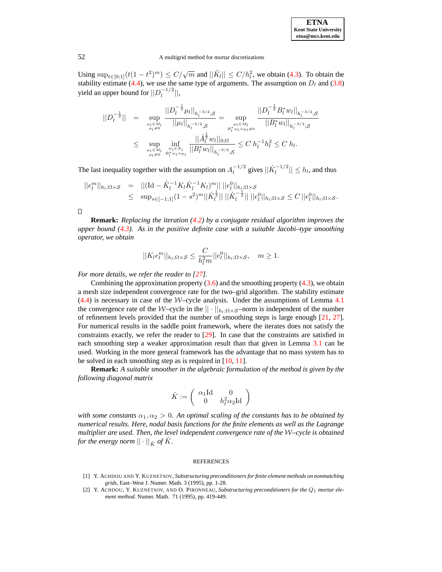

Using  $\sup_{t \in [0,1]} (t(1-t^2)^m) \le C/\sqrt{m}$  and  $||\hat{K}_l|| \le C/h_l^2$ , we obtain [\(4.3\)](#page-8-2). To obtain the stability estimate [\(4.4\)](#page-8-3), we use the same type of arguments. The assumption on  $D_l$  and [\(3.8\)](#page-7-1) yield an upper bound for  $||D_l^{-1/2}$  $\|l^{-(1/2)}\|,$ 

$$
||D_l^{-\frac{1}{2}}|| = \sup_{\substack{\mu_l \in M_l \\ \mu_l \neq 0}} \frac{||D_l^{-\frac{1}{2}}\mu_l||_{h_l^{-3/2};\mathcal{S}}}{||\mu_l||_{h_l^{-3/2};\mathcal{S}}} = \sup_{\substack{\mu_l \in M_l \\ \mu_l \neq 0}} \frac{||D_l^{-\frac{1}{2}}B_l^*w_l||_{h_l^{-3/2};\mathcal{S}}}{||B_l^*w_l||_{h_l^{-3/2};\mathcal{S}}} \leq \sup_{\substack{\mu_l \in M_l \\ \mu_l \neq 0}} \frac{||\hat{A}_l^{\frac{1}{2}}w_l||_{0;\Omega}}{||B_l^*w_l||_{h_l^{-3/2};\mathcal{S}}} \leq C h_l^{-1} h_l^2 \leq C h_l.
$$

The last inequality together with the assumption on  $A_l^{-1/2}$  $\left| \int_l^{-1/2}$  gives  $||\hat{K}_l^{-1/2}|| \leq h_l$ , and thus

$$
||e_l^m||_{h_l;\Omega\times\mathcal{S}} = ||(\mathrm{Id} - \hat{K}_l^{-1} K_l \hat{K}_l^{-1} K_l)^m|| ||e_l^0||_{h_l;\Omega\times\mathcal{S}}
$$
  
 
$$
\leq \sup_{s\in[-1,1]} (1-s^2)^m ||\hat{K}_l^{\frac{1}{2}}|| ||\hat{K}_l^{-\frac{1}{2}}|| ||e_l^0||_{h_l;\Omega\times\mathcal{S}} \leq C ||e_l^0||_{h_l;\Omega\times\mathcal{S}}.
$$

 $\Box$ 

**Remark:** *Replacing the iteration [\(4.2\)](#page-8-1) by a conjugate residual algorithm improves the upper bound [\(4.3\)](#page-8-2). As in the positive definite case with a suitable Jacobi–type smoothing operator, we obtain*

$$
||K_l e_l^m||_{h_l;\Omega \times \mathcal{S}} \leq \frac{C}{h_l^2 m} ||e_l^0||_{h_l;\Omega \times \mathcal{S}}, \quad m \geq 1.
$$

*For more details, we refer the reader to [\[27\]](#page-10-16).*

Combining the approximation property  $(3.6)$  and the smoothing property  $(4.3)$ , we obtain a mesh size independent convergence rate for the two–grid algorithm. The stability estimate  $(4.4)$  is necessary in case of the *W*-cycle analysis. Under the assumptions of Lemma [4.1](#page-8-4) the convergence rate of the W–cycle in the  $|| \cdot ||_{h_l;\Omega \times \mathcal{S}}$ –norm is independent of the number of refinement levels provided that the number of smoothing steps is large enough [\[21,](#page-10-23) [27\]](#page-10-16). For numerical results in the saddle point framework, where the iterates does not satisfy the constraints exactly, we refer the reader to [\[29\]](#page-10-24). In case that the constraints are satisfied in each smoothing step a weaker approximation result than that given in Lemma [3.1](#page-4-0) can be used. Working in the more general framework has the advantage that no mass system has to be solved in each smoothing step as is required in [\[10,](#page-10-11) [11\]](#page-10-12).

**Remark:** *A suitable smoother in the algebraic formulation of the method is given by the following diagonal matrix*

$$
\hat{K}:=\left(\begin{array}{cc} \alpha_1\mathrm{Id} & 0 \\ 0 & h_l^2\alpha_2\mathrm{Id} \end{array}\right)
$$

*with some constants*  $\alpha_1, \alpha_2 > 0$ *. An optimal scaling of the constants has to be obtained by numerical results. Here, nodal basis functions for the finite elements as well as the Lagrange multiplier are used. Then, the level independent convergence rate of the* W*–cycle is obtained for the energy norm*  $|| \cdot ||_{\hat{K}}$  *of*  $\hat{K}$ *.* 

#### REFERENCES

- <span id="page-9-0"></span>[1] Y. ACHDOU AND Y. KUZNETSOV, *Substructuring preconditioners for finite element methods on nonmatching grids*, East–West J. Numer. Math. 3 (1995), pp. 1-28.
- <span id="page-9-1"></span>[2] Y. ACHDOU, Y. KUZNETSOV, AND O. PIRONNEAU, *Substructuring preconditioners for the* Q1 *mortar element method.* Numer. Math. 71 (1995), pp. 419-449.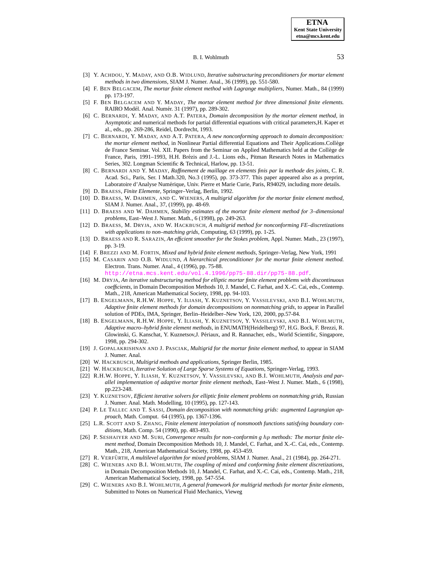- <span id="page-10-14"></span><span id="page-10-4"></span>[3] Y. ACHDOU, Y. MADAY, AND O.B. WIDLUND, *Iterative substructuring preconditioners for mortar element methods in two dimensions*, SIAM J. Numer. Anal., 36 (1999), pp. 551-580.
- <span id="page-10-17"></span>[4] F. BEN BELGACEM, *The mortar finite element method with Lagrange multipliers*, Numer. Math., 84 (1999) pp. 173-197.
- [5] F. BEN BELGACEM AND Y. MADAY, *The mortar element method for three dimensional finite elements.* RAIRO Modél. Anal. Numér. 31 (1997), pp. 289-302.
- <span id="page-10-0"></span>[6] C. BERNARDI, Y. MADAY, AND A.T. PATERA, *Domain decomposition by the mortar element method*, in Asymptotic and numerical methods for partial differential equations with critical parameters,H. Kaper et al., eds., pp. 269-286, Reidel, Dordrecht, 1993.
- <span id="page-10-1"></span>[7] C. BERNARDI, Y. MADAY, AND A.T. PATERA, *A new nonconforming approach to domain decomposition: the mortar element method*, in Nonlinear Partial differential Equations and Their Applications.College ` de France Seminar. Vol. XII. Papers from the Seminar on Applied Mathematics held at the Collège de France, Paris, 1991–1993, H.H. Brézis and J.-L. Lions eds., Pitman Research Notes in Mathematics Series, 302. Longman Scientific & Technical, Harlow, pp. 13-51.
- <span id="page-10-20"></span>[8] C. BERNARDI AND Y. MADAY, *Raffinement de maillage en elements finis par la methode des joints*, C. R. Acad. Sci., Paris, Ser. I Math.320, No.3 (1995), pp. 373-377. This paper appeared also as a preprint, Laboratoire d'Analyse Numérique, Univ. Pierre et Marie Curie, Paris, R94029, including more details.
- [9] D. BRAESS, *Finite Elemente*, Springer–Verlag, Berlin, 1992.
- <span id="page-10-11"></span>[10] D. BRAESS, W. DAHMEN, AND C. WIENERS, *A multigrid algorithm for the mortar finite element method*, SIAM J. Numer. Anal., 37, (1999), pp. 48-69.
- <span id="page-10-12"></span>[11] D. BRAESS AND W. DAHMEN, *Stability estimates of the mortar finite element method for 3–dimensional problems*, East–West J. Numer. Math., 6 (1998), pp. 249-263.
- <span id="page-10-9"></span>[12] D. BRAESS, M. DRYJA, AND W. HACKBUSCH, *A multigrid method for nonconforming FE–discretizations with applications to non–matching grids*, Computing, 63 (1999), pp. 1-25.
- <span id="page-10-15"></span>[13] D. BRAESS AND R. SARAZIN, *An efficient smoother for the Stokes problem*, Appl. Numer. Math., 23 (1997), pp. 3-19.
- [14] F. BREZZI AND M. FORTIN, *Mixed and hybrid finite element methods*, Springer–Verlag, New York, 1991
- <span id="page-10-21"></span><span id="page-10-2"></span>[15] M. CASARIN AND O.B. WIDLUND, *A hierarchical preconditioner for the mortar finite element method.* Electron. Trans. Numer. Anal., 4 (1996), pp. 75-88.
	- etna.mcs.kent.edu/vol.4.1996/pp75-88.dir/pp75-88.pdf
- <span id="page-10-3"></span>[16] M. DRYJA, *An iterative substructuring method for elliptic mortar finite element problems with discontinuous coefficients*, in Domain Decomposition Methods 10, J. Mandel, C. Farhat, and X.-C. Cai, eds., Contemp. Math., 218, American Mathematical Society, 1998, pp. 94-103.
- <span id="page-10-5"></span>[17] B. ENGELMANN, R.H.W. HOPPE, Y. ILIASH, Y. KUZNETSOV, Y. VASSILEVSKI, AND B.I. WOHLMUTH, *Adaptive finite element methods for domain decompositions on nonmatching grids*, to appear in Parallel solution of PDEs, IMA, Springer, Berlin–Heidelber–New York, 120, 2000, pp.57-84.
- <span id="page-10-6"></span>[18] B. ENGELMANN, R.H.W. HOPPE, Y. ILIASH, Y. KUZNETSOV, Y. VASSILEVSKI, AND B.I. WOHLMUTH, *Adaptive macro–hybrid finite element methods*, in ENUMATH(Heidelberg) 97, H.G. Bock, F. Brezzi, R. Glowinski, G. Kanschat, Y. Kuznetsov,J. Périaux, and R. Rannacher, eds., World Scientific, Singapore, 1998, pp. 294-302.
- <span id="page-10-10"></span>[19] J. GOPALAKRISHNAN AND J. PASCIAK, *Multigrid for the mortar finite element method*, to appear in SIAM J. Numer. Anal.
- <span id="page-10-23"></span>[20] W. HACKBUSCH, *Multigrid methods and applications*, Springer Berlin, 1985.
- <span id="page-10-7"></span>[21] W. HACKBUSCH, *Iterative Solution of Large Sparse Systems of Equations*, Springer-Verlag, 1993.
- [22] R.H.W. HOPPE, Y. ILIASH, Y. KUZNETSOV, Y. VASSILEVSKI, AND B.I. WOHLMUTH, *Analysis and parallel implementation of adaptive mortar finite element methods*, East–West J. Numer. Math., 6 (1998), pp.223-248.
- <span id="page-10-8"></span>[23] Y. KUZNETSOV, *Efficient iterative solvers for elliptic finite element problems on nonmatching grids*, Russian J. Numer. Anal. Math. Modelling, 10 (1995), pp. 127-143.
- [24] P. LE TALLEC AND T. SASSI, *Domain decomposition with nonmatching grids: augmented Lagrangian approach*, Math. Comput. 64 (1995), pp. 1367-1396.
- <span id="page-10-22"></span>[25] L.R. SCOTT AND S. ZHANG, *Finite element interpolation of nonsmooth functions satisfying boundary conditions*, Math. Comp. 54 (1990), pp. 483-493.
- <span id="page-10-18"></span>[26] P. SESHAIYER AND M. SURI, *Convergence results for non–conformin g* hp *methods: The mortar finite element method*, Domain Decomposition Methods 10, J. Mandel, C. Farhat, and X.-C. Cai, eds., Contemp. Math., 218, American Mathematical Society, 1998, pp. 453-459.
- <span id="page-10-16"></span>[27] R. VERFÜRTH, *A multilevel algorithm for mixed problems*, SIAM J. Numer. Anal., 21 (1984), pp. 264-271.
- <span id="page-10-13"></span>[28] C. WIENERS AND B.I. WOHLMUTH, *The coupling of mixed and conforming finite element discretizations*, in Domain Decomposition Methods 10, J. Mandel, C. Farhat, and X.-C. Cai, eds., Contemp. Math., 218, American Mathematical Society, 1998, pp. 547-554.
- <span id="page-10-24"></span><span id="page-10-19"></span>[29] C. WIENERS AND B.I. WOHLMUTH, *A general framework for multigrid methods for mortar finite elements*, Submitted to Notes on Numerical Fluid Mechanics, Vieweg